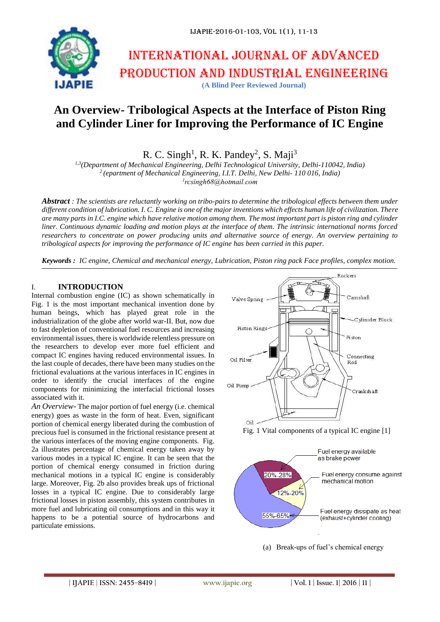

# International journal of advanced production and industrial engineering **(A Blind Peer Reviewed Journal)**

## **An Overview- Tribological Aspects at the Interface of Piston Ring and Cylinder Liner for Improving the Performance of IC Engine**

R. C. Singh<sup>1</sup>, R. K. Pandey<sup>2</sup>, S. Maji<sup>3</sup>

*1,3(Department of Mechanical Engineering, Delhi Technological University, Delhi-110042, India) 2 (epartment of Mechanical Engineering, I.I.T. Delhi, New Delhi- 110 016, India)*

*1 rcsingh68@hotmail.com*

*Abstract : The scientists are reluctantly working on tribo-pairs to determine the tribological effects between them under different condition of lubrication. I. C. Engine is one of the major inventions which effects human life of civilization. There are many parts in I.C. engine which have relative motion among them. The most important part is piston ring and cylinder liner. Continuous dynamic loading and motion plays at the interface of them. The intrinsic international norms forced researchers to concentrate on power producing units and alternative source of energy. An overview pertaining to tribological aspects for improving the performance of IC engine has been carried in this paper.* 

*Keywords : IC engine, Chemical and mechanical energy, Lubrication, Piston ring pack Face profiles, complex motion.*

### I. **INTRODUCTION**

Internal combustion engine (IC) as shown schematically in Fig. 1 is the most important mechanical invention done by human beings, which has played great role in the industrialization of the globe after world war-II. But, now due to fast depletion of conventional fuel resources and increasing environmental issues, there is worldwide relentless pressure on the researchers to develop ever more fuel efficient and compact IC engines having reduced environmental issues. In the last couple of decades, there have been many studies on the frictional evaluations at the various interfaces in IC engines in order to identify the crucial interfaces of the engine components for minimizing the interfacial frictional losses associated with it.

*An Overview-* The major portion of fuel energy (i.e. chemical energy) goes as waste in the form of heat. Even, significant portion of chemical energy liberated during the combustion of precious fuel is consumed in the frictional resistance present at the various interfaces of the moving engine components. Fig. 2a illustrates percentage of chemical energy taken away by various modes in a typical IC engine. It can be seen that the portion of chemical energy consumed in friction during mechanical motions in a typical IC engine is considerably large. Moreover, Fig. 2b also provides break ups of frictional losses in a typical IC engine. Due to considerably large frictional losses in piston assembly, this system contributes in more fuel and lubricating oil consumptions and in this way it happens to be a potential source of hydrocarbons and particulate emissions.







(a) Break-ups of fuel's chemical energy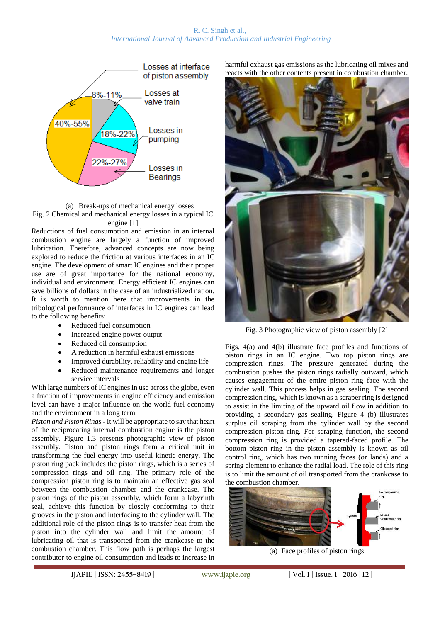#### R. C. Singh et al., *International Journal of Advanced Production and Industrial Engineering*





Reductions of fuel consumption and emission in an internal combustion engine are largely a function of improved lubrication. Therefore, advanced concepts are now being explored to reduce the friction at various interfaces in an IC engine. The development of smart IC engines and their proper use are of great importance for the national economy, individual and environment. Energy efficient IC engines can save billions of dollars in the case of an industrialized nation. It is worth to mention here that improvements in the tribological performance of interfaces in IC engines can lead to the following benefits:

- Reduced fuel consumption
- Increased engine power output
- Reduced oil consumption
- A reduction in harmful exhaust emissions
- Improved durability, reliability and engine life
- Reduced maintenance requirements and longer service intervals

With large numbers of IC engines in use across the globe, even a fraction of improvements in engine efficiency and emission level can have a major influence on the world fuel economy and the environment in a long term.

*Piston and Piston Rings -* It will be appropriate to say that heart of the reciprocating internal combustion engine is the piston assembly. Figure 1.3 presents photographic view of piston assembly. Piston and piston rings form a critical unit in transforming the fuel energy into useful kinetic energy. The piston ring pack includes the piston rings, which is a series of compression rings and oil ring. The primary role of the compression piston ring is to maintain an effective gas seal between the combustion chamber and the crankcase. The piston rings of the piston assembly, which form a labyrinth seal, achieve this function by closely conforming to their grooves in the piston and interfacing to the cylinder wall. The additional role of the piston rings is to transfer heat from the piston into the cylinder wall and limit the amount of lubricating oil that is transported from the crankcase to the combustion chamber. This flow path is perhaps the largest contributor to engine oil consumption and leads to increase in

harmful exhaust gas emissions as the lubricating oil mixes and reacts with the other contents present in combustion chamber.



Fig. 3 Photographic view of piston assembly [2]

Figs. 4(a) and 4(b) illustrate face profiles and functions of piston rings in an IC engine. Two top piston rings are compression rings. The pressure generated during the combustion pushes the piston rings radially outward, which causes engagement of the entire piston ring face with the cylinder wall. This process helps in gas sealing. The second compression ring, which is known as a scraper ring is designed to assist in the limiting of the upward oil flow in addition to providing a secondary gas sealing. Figure 4 (b) illustrates surplus oil scraping from the cylinder wall by the second compression piston ring. For scraping function, the second compression ring is provided a tapered-faced profile. The bottom piston ring in the piston assembly is known as oil control ring, which has two running faces (or lands) and a spring element to enhance the radial load. The role of this ring is to limit the amount of oil transported from the crankcase to the combustion chamber.



(a) Face profiles of piston rings